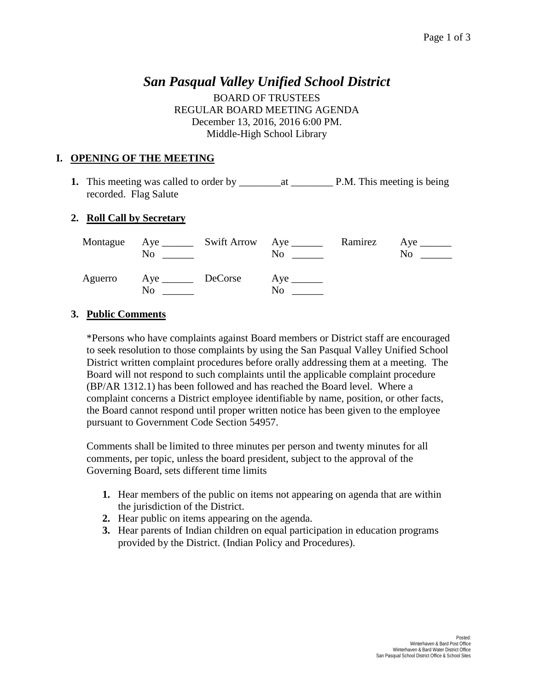# *San Pasqual Valley Unified School District*

BOARD OF TRUSTEES REGULAR BOARD MEETING AGENDA December 13, 2016, 2016 6:00 PM. Middle-High School Library

## **I. OPENING OF THE MEETING**

**1.** This meeting was called to order by \_\_\_\_\_\_\_\_at \_\_\_\_\_\_\_\_ P.M. This meeting is being recorded. Flag Salute

## **2. Roll Call by Secretary**

|         | No                          | Montague Aye ________ Swift Arrow Aye _______ | No | Ramirez Aye ________<br>No. |
|---------|-----------------------------|-----------------------------------------------|----|-----------------------------|
| Aguerro | Aye _________ DeCorse<br>No |                                               | No |                             |

## **3. Public Comments**

\*Persons who have complaints against Board members or District staff are encouraged to seek resolution to those complaints by using the San Pasqual Valley Unified School District written complaint procedures before orally addressing them at a meeting. The Board will not respond to such complaints until the applicable complaint procedure (BP/AR 1312.1) has been followed and has reached the Board level. Where a complaint concerns a District employee identifiable by name, position, or other facts, the Board cannot respond until proper written notice has been given to the employee pursuant to Government Code Section 54957.

Comments shall be limited to three minutes per person and twenty minutes for all comments, per topic, unless the board president, subject to the approval of the Governing Board, sets different time limits

- **1.** Hear members of the public on items not appearing on agenda that are within the jurisdiction of the District.
- **2.** Hear public on items appearing on the agenda.
- **3.** Hear parents of Indian children on equal participation in education programs provided by the District. (Indian Policy and Procedures).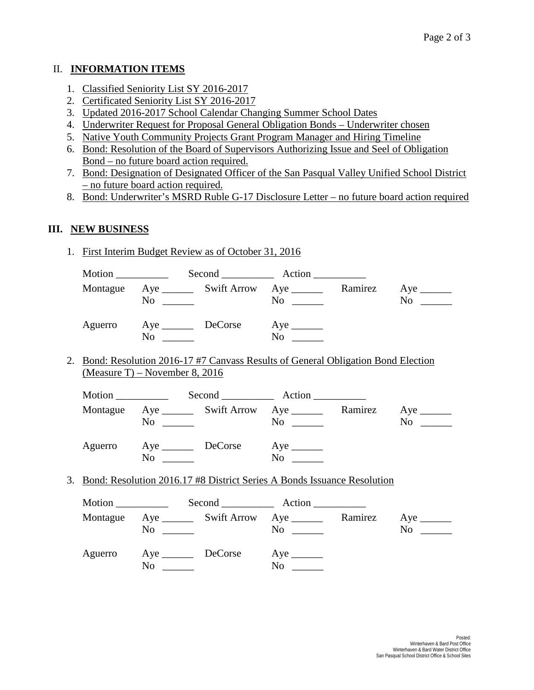#### II. **INFORMATION ITEMS**

- 1. Classified Seniority List SY 2016-2017
- 2. Certificated Seniority List SY 2016-2017
- 3. Updated 2016-2017 School Calendar Changing Summer School Dates
- 4. Underwriter Request for Proposal General Obligation Bonds Underwriter chosen
- 5. Native Youth Community Projects Grant Program Manager and Hiring Timeline
- 6. Bond: Resolution of the Board of Supervisors Authorizing Issue and Seel of Obligation Bond – no future board action required.
- 7. Bond: Designation of Designated Officer of the San Pasqual Valley Unified School District – no future board action required.
- 8. Bond: Underwriter's MSRD Ruble G-17 Disclosure Letter no future board action required

#### **III. NEW BUSINESS**

1. First Interim Budget Review as of October 31, 2016

| Motion ____________ |    | Second Action                             |         |    |
|---------------------|----|-------------------------------------------|---------|----|
| Montague            | No | $\overline{N}$ o $\overline{\phantom{a}}$ | Ramirez | No |
| Aguerro             | No | N <sub>0</sub>                            |         |    |

2. Bond: Resolution 2016-17 #7 Canvass Results of General Obligation Bond Election (Measure T) – November 8, 2016

|          |    |                                                                                             | Second Action  |         |    |
|----------|----|---------------------------------------------------------------------------------------------|----------------|---------|----|
| Montague | No | Aye __________ Swift Arrow Aye _______<br><u> The Communication of the Communication of</u> | N <sub>0</sub> | Ramirez | No |
| Aguerro  | No | DeCorse                                                                                     | N <sub>0</sub> |         |    |

3. Bond: Resolution 2016.17 #8 District Series A Bonds Issuance Resolution

| Motion $\_\_$ |                                                                             | Second Action  |         |                                                                                                                                                                                             |
|---------------|-----------------------------------------------------------------------------|----------------|---------|---------------------------------------------------------------------------------------------------------------------------------------------------------------------------------------------|
| Montague      | $\overline{N}$ $\overline{\phantom{a}$ $\overline{\phantom{a} \phantom{a}}$ | $No \ \_$      | Ramirez | N <sub>0</sub><br>$\frac{1}{2} \left( \frac{1}{2} \right)$ , $\frac{1}{2} \left( \frac{1}{2} \right)$ , $\frac{1}{2} \left( \frac{1}{2} \right)$ , $\frac{1}{2} \left( \frac{1}{2} \right)$ |
|               | Aguerro Aye <u>DeCorse</u><br>No                                            | N <sub>0</sub> |         |                                                                                                                                                                                             |